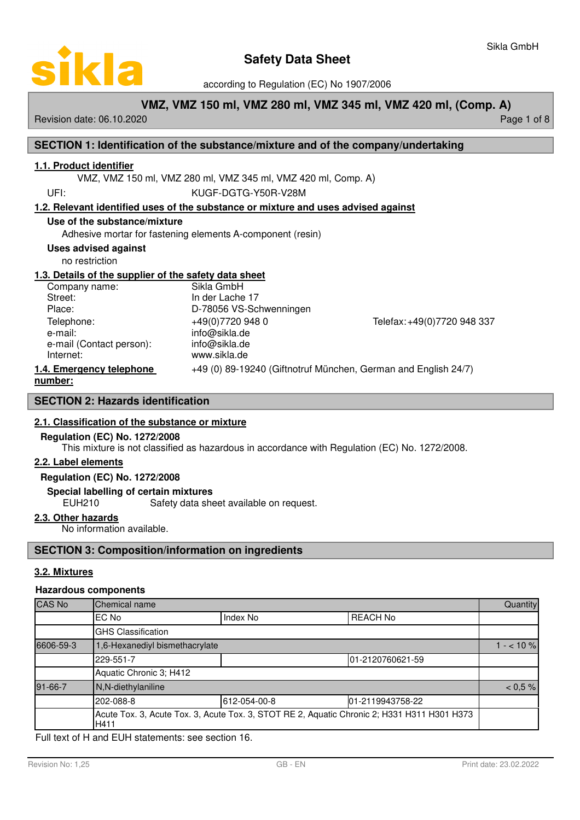

according to Regulation (EC) No 1907/2006

# **VMZ, VMZ 150 ml, VMZ 280 ml, VMZ 345 ml, VMZ 420 ml, (Comp. A)**

Revision date: 06.10.2020 **Page 1 of 8** and 2011 **Page 1 of 8** and 2011 **Page 1 of 8** and 2011 **Page 1 of 8** and 2011

# **SECTION 1: Identification of the substance/mixture and of the company/undertaking**

# **1 . 1 . Product identifier**

VMZ, VMZ 150 ml, VMZ 280 ml, VMZ 345 ml, VMZ 420 ml, Comp. A)

UFI: KUGF-DGTG-Y50R-V28M

# **1 . 2 . Relevant identified uses of the substance or mixture and uses advised against**

#### **Use of the substance/mixture**

Adhesive mortar for fastening elements A-component (resin)

#### **Uses advised against**

no restriction

# **1 . 3 . Details of the supplier of the safety data sheet**

| Company name:            | Sikla GmbH              |                                                                |
|--------------------------|-------------------------|----------------------------------------------------------------|
| Street:                  | In der Lache 17         |                                                                |
| Place:                   | D-78056 VS-Schwenningen |                                                                |
| Telephone:               | +49(0)7720 948 0        | Telefax: +49(0)7720 948 337                                    |
| e-mail:                  | info@sikla.de           |                                                                |
| e-mail (Contact person): | info@sikla.de           |                                                                |
| Internet:                | www.sikla.de            |                                                                |
| 1.4. Emergency telephone |                         | +49 (0) 89-19240 (Giftnotruf München, German and English 24/7) |
| number:                  |                         |                                                                |

# **SECTION 2: Hazards identification**

# **2 . 1 . Classification of the substance or mixture**

# **Regulation (EC) No. 1272/2008**

This mixture is not classified as hazardous in accordance with Regulation (EC) No. 1272/2008.

#### **2 . 2 . Label elements**

#### **Regulation (EC) No. 1272/2008**

#### **Special labelling of certain mixtures**

EUH210 Safety data sheet available on request.

# **2 . 3 . Other hazards**

No information available.

# **SECTION 3: Composition/information on ingredients**

# **3 . 2 . M ixtures**

#### **Hazardous components**

| <b>CAS No</b> | Chemical name                                                                                       |              |                  |  |  |  |  |
|---------------|-----------------------------------------------------------------------------------------------------|--------------|------------------|--|--|--|--|
|               | EC No                                                                                               | Index No     | <b>REACH No</b>  |  |  |  |  |
|               | <b>GHS Classification</b>                                                                           |              |                  |  |  |  |  |
| 6606-59-3     | 1,6-Hexanediyl bismethacrylate                                                                      |              |                  |  |  |  |  |
|               | 229-551-7                                                                                           |              | 01-2120760621-59 |  |  |  |  |
|               | Aquatic Chronic 3; H412                                                                             |              |                  |  |  |  |  |
| 91-66-7       | N,N-diethylaniline                                                                                  |              |                  |  |  |  |  |
|               | 202-088-8                                                                                           | 612-054-00-8 | 01-2119943758-22 |  |  |  |  |
|               | Acute Tox. 3, Acute Tox. 3, Acute Tox. 3, STOT RE 2, Aquatic Chronic 2; H331 H311 H301 H373<br>H411 |              |                  |  |  |  |  |

Full text of H and EUH statements: see section 16.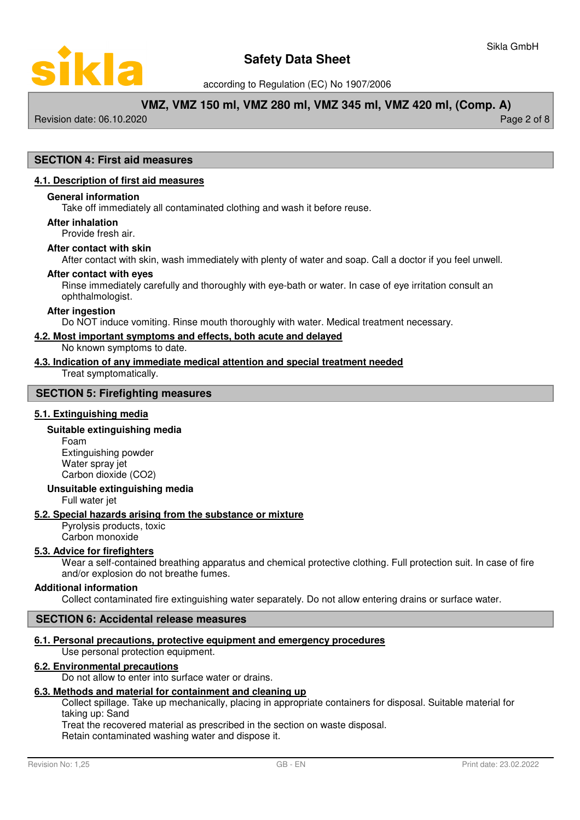

according to Regulation (EC) No 1907/2006

# **VMZ, VMZ 150 ml, VMZ 280 ml, VMZ 345 ml, VMZ 420 ml, (Comp. A)**

Revision date: 06.10.2020 Page 2 of 8

# **SECTION 4: First aid measures**

#### **4 . 1 . Description of first aid measures**

#### **General information**

Take off immediately all contaminated clothing and wash it before reuse.

#### **After inhalation**

Provide fresh air.

#### **After contact with skin**

After contact with skin, wash immediately with plenty of water and soap. Call a doctor if you feel unwell.

#### **After contact with eyes**

Rinse immediately carefully and thoroughly with eye-bath or water. In case of eye irritation consult an ophthalmologist.

#### **After ingestion**

Do NOT induce vomiting. Rinse mouth thoroughly with water. Medical treatment necessary.

#### **4 . 2 . Most important symptoms and effects , both acute and delayed**

No known symptoms to date.

#### **4 . 3 . Indication of any immediate medical attention and special treatment needed**

Treat symptomatically.

#### **SECTION 5: Firefighting measures**

#### **5 . 1 . Extinguishing media**

#### **Suitable extinguishing media**

Foam Extinguishing powder Water spray jet Carbon dioxide (CO2)

#### **Unsuitable extinguishing media**

Full water jet

#### **5 . 2 . Special hazards arising from the substance or mixture**

Pyrolysis products, toxic Carbon monoxide

#### **5 . 3 . Advice for firefighters**

Wear a self-contained breathing apparatus and chemical protective clothing. Full protection suit. In case of fire and/or explosion do not breathe fumes.

### **Additional information**

Collect contaminated fire extinguishing water separately. Do not allow entering drains or surface water.

#### **SECTION 6: Accidental release measures**

# **6 . 1 . Personal precautions , protective equipment and emergency procedures**

Use personal protection equipment.

# **6 . 2 . Environmental precautions**

Do not allow to enter into surface water or drains.

# **6 . 3 . Methods and material for containment and cleaning up**

Collect spillage. Take up mechanically, placing in appropriate containers for disposal. Suitable material for taking up: Sand

Treat the recovered material as prescribed in the section on waste disposal.

Retain contaminated washing water and dispose it.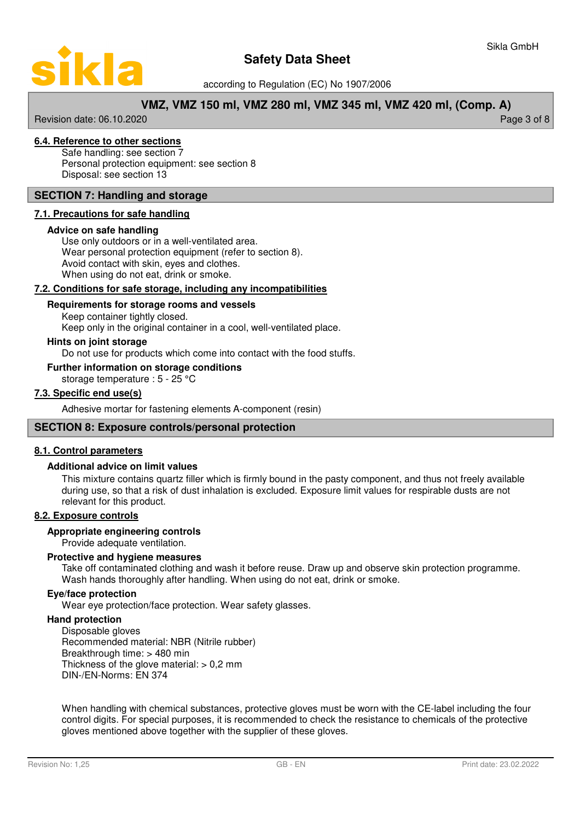

according to Regulation (EC) No 1907/2006

# **VMZ, VMZ 150 ml, VMZ 280 ml, VMZ 345 ml, VMZ 420 ml, (Comp. A)**

Revision date: 06.10.2020 Page 3 of 8

# **6 . 4 . Reference to other sections**

Safe handling: see section 7 Personal protection equipment: see section 8 Disposal: see section 13

### **SECTION 7: Handling and storage**

#### **7 . 1 . Precautions for safe handling**

#### **Advice on safe handling**

Use only outdoors or in a well-ventilated area. Wear personal protection equipment (refer to section 8). Avoid contact with skin, eyes and clothes. When using do not eat, drink or smoke.

#### **7 . 2 . Conditions for safe storage , including any incompatibilities**

# **Requirements for storage rooms and vessels**

Keep container tightly closed.

Keep only in the original container in a cool, well-ventilated place.

# **Hints on joint storage**

Do not use for products which come into contact with the food stuffs.

### **Further information on storage conditions**

storage temperature : 5 - 25 °C

#### **7 . 3 . Specific end use ( s )**

Adhesive mortar for fastening elements A-component (resin)

#### **SECTION 8: Exposure controls/personal protection**

#### **8 . 1 . Control parameters**

#### **Additional advice on limit values**

This mixture contains quartz filler which is firmly bound in the pasty component, and thus not freely available during use, so that a risk of dust inhalation is excluded. Exposure limit values for respirable dusts are not relevant for this product.

### **8 . 2 . Exposure controls**

#### **Appropriate engineering controls**

Provide adequate ventilation.

#### **Protective and hygiene measures**

Take off contaminated clothing and wash it before reuse. Draw up and observe skin protection programme. Wash hands thoroughly after handling. When using do not eat, drink or smoke.

#### **Eye/face protection**

Wear eye protection/face protection. Wear safety glasses.

#### **Hand protection**

Disposable gloves Recommended material: NBR (Nitrile rubber) Breakthrough time: > 480 min Thickness of the glove material:  $> 0.2$  mm DIN-/EN-Norms: EN 374

When handling with chemical substances, protective gloves must be worn with the CE-label including the four control digits. For special purposes, it is recommended to check the resistance to chemicals of the protective gloves mentioned above together with the supplier of these gloves.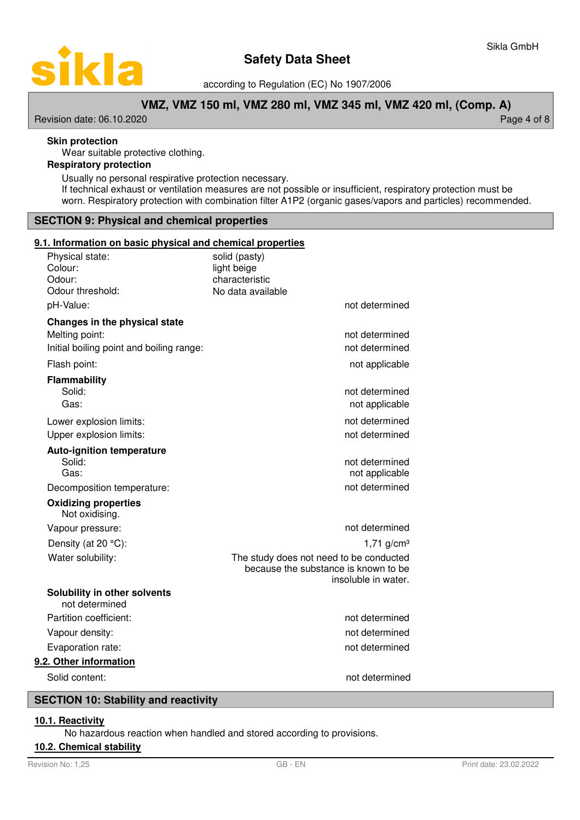

according to Regulation (EC) No 1907/2006

# **VMZ, VMZ 150 ml, VMZ 280 ml, VMZ 345 ml, VMZ 420 ml, (Comp. A)**

Revision date: 06.10.2020 **Page 4 of 8** 

### **Skin protection**

Wear suitable protective clothing.

# **Respiratory protection**

Usually no personal respirative protection necessary. If technical exhaust or ventilation measures are not possible or insufficient, respiratory protection must be worn. Respiratory protection with combination filter A1P2 (organic gases/vapors and particles) recommended.

# **SECTION 9: Physical and chemical properties**

#### **9 . 1 . Information on basic physical and chemical properties**

| <u> Information on basic physical and chemical properties</u><br>Physical state:<br>Colour: | solid (pasty)<br>light beige                                                                           |
|---------------------------------------------------------------------------------------------|--------------------------------------------------------------------------------------------------------|
| Odour:                                                                                      | characteristic                                                                                         |
| Odour threshold:                                                                            | No data available                                                                                      |
| pH-Value:                                                                                   | not determined                                                                                         |
| Changes in the physical state                                                               |                                                                                                        |
| Melting point:                                                                              | not determined                                                                                         |
| Initial boiling point and boiling range:                                                    | not determined                                                                                         |
| Flash point:                                                                                | not applicable                                                                                         |
| Flammability                                                                                |                                                                                                        |
| Solid:                                                                                      | not determined                                                                                         |
| Gas:                                                                                        | not applicable                                                                                         |
| Lower explosion limits:                                                                     | not determined                                                                                         |
| Upper explosion limits:                                                                     | not determined                                                                                         |
| <b>Auto-ignition temperature</b>                                                            |                                                                                                        |
| Solid:                                                                                      | not determined                                                                                         |
| Gas:                                                                                        | not applicable                                                                                         |
| Decomposition temperature:                                                                  | not determined                                                                                         |
| <b>Oxidizing properties</b><br>Not oxidising.                                               |                                                                                                        |
| Vapour pressure:                                                                            | not determined                                                                                         |
| Density (at 20 °C):                                                                         | $1,71$ g/cm <sup>3</sup>                                                                               |
| Water solubility:                                                                           | The study does not need to be conducted<br>because the substance is known to be<br>insoluble in water. |
| Solubility in other solvents<br>not determined                                              |                                                                                                        |
| Partition coefficient:                                                                      | not determined                                                                                         |
| Vapour density:                                                                             | not determined                                                                                         |
| Evaporation rate:                                                                           | not determined                                                                                         |
| 9.2. Other information                                                                      |                                                                                                        |
| Solid content:                                                                              | not determined                                                                                         |

#### **SECTION 10: Stability and reactivity**

# **1 0. 1 . R eactivity**

No hazardous reaction when handled and stored according to provisions.

#### **10.2. Chemical stability**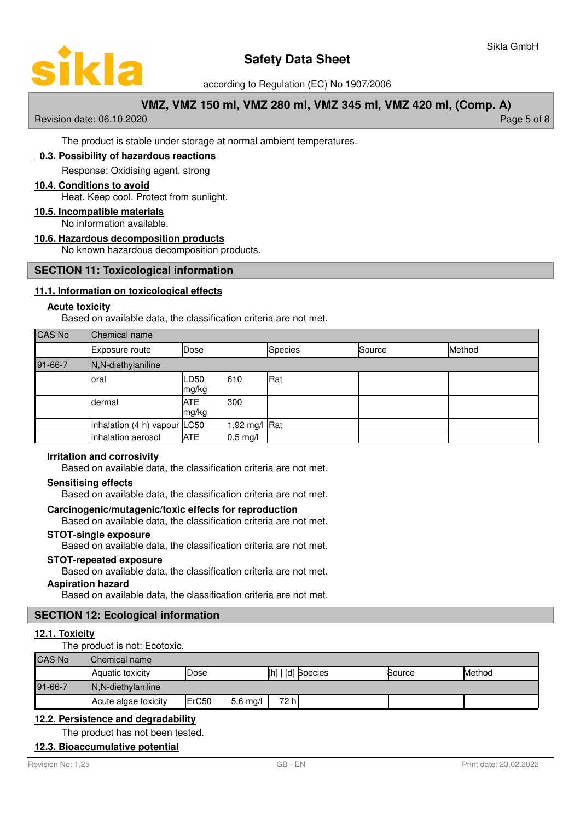

according to Regulation (EC) No 1907/2006

# **VMZ, VMZ 150 ml, VMZ 280 ml, VMZ 345 ml, VMZ 420 ml, (Comp. A)**

Revision date: 06.10.2020 Page 5 of 8

The product is stable under storage at normal ambient temperatures.

# **0. 3 . P ossibility of hazardous reactions**

Response: Oxidising agent, strong

#### **10 . 4 . Conditions to avoid**

Heat. Keep cool. Protect from sunlight.

# **10 . 5 . Incompatible materials**

No information available.

#### **10 . 6 . Hazardous decomposition products**

No known hazardous decomposition products.

# **SECTION 11: Toxicological information**

# **11 . 1 . Information on toxicological effects**

#### **Acute toxicity**

Based on available data, the classification criteria are not met.

# CAS No Chemical name

|         | Exposure route               | Dose                |                    | <b>Species</b> | Source | Method |
|---------|------------------------------|---------------------|--------------------|----------------|--------|--------|
| 91-66-7 | N,N-diethylaniline           |                     |                    |                |        |        |
|         | loral                        | LD50<br>mg/kg       | 610                | Rat            |        |        |
|         | dermal                       | <b>ATE</b><br>mg/kg | 300                |                |        |        |
|         | inhalation (4 h) vapour LC50 |                     | 1,92 mg/l $Rat$    |                |        |        |
|         | inhalation aerosol           | <b>ATE</b>          | $0,5 \text{ mg/l}$ |                |        |        |

# **Irritation and corrosivity**

Based on available data, the classification criteria are not met.

#### **Sensitising effects**

Based on available data, the classification criteria are not met.

# **Carcinogenic/mutagenic/toxic effects for reproduction**

Based on available data, the classification criteria are not met.

#### **STOT-single exposure**

Based on available data, the classification criteria are not met.

#### **STOT-repeated exposure**

Based on available data, the classification criteria are not met.

#### **Aspiration hazard**

Based on available data, the classification criteria are not met.

# **SECTION 12: Ecological information**

# **12.1. Toxicity**

The product is not: Ecotoxic.

| <b>CAS No</b> | Chemical name                                                     |        |            |       |  |  |
|---------------|-------------------------------------------------------------------|--------|------------|-------|--|--|
|               | [h]   [d] Species<br>Method<br>Aquatic toxicity<br>Dose<br>Source |        |            |       |  |  |
| 91-66-7       | IN, N-diethylaniline                                              |        |            |       |  |  |
|               | <b>Acute algae toxicity</b>                                       | IErC50 | $5,6$ mg/l | 72 hl |  |  |

# 12.2. Persistence and degradability

# The product has not been tested.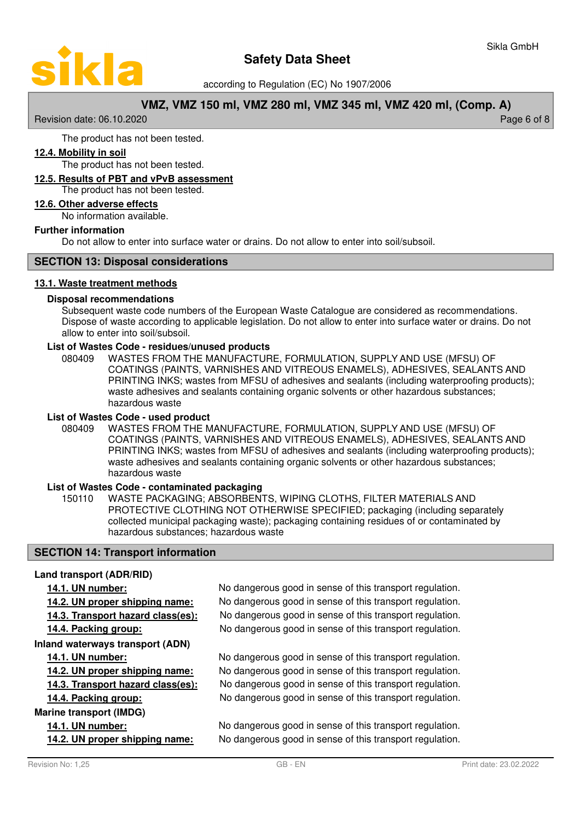

according to Regulation (EC) No 1907/2006

# **VMZ, VMZ 150 ml, VMZ 280 ml, VMZ 345 ml, VMZ 420 ml, (Comp. A)**

Revision date: 06.10.2020 **Page 6 of 8** and 2011 **Page 6 of 8** and 2011 **Page 6 of 8** and 2011 **Page 6 of 8** 

The product has not been tested.

# **12 . 4 . Mobility in soil**

The product has not been tested.

# **12 . 5 . Results of PBT and vPvB assessment**

The product has not been tested.

# **12 . 6 . Other adverse effects**

No information available.

#### **Further information**

Do not allow to enter into surface water or drains. Do not allow to enter into soil/subsoil.

# **SECTION 13: Disposal considerations**

#### **13 . 1 . Waste treatment methods**

#### **Disposal recommendations**

Subsequent waste code numbers of the European Waste Catalogue are considered as recommendations. Dispose of waste according to applicable legislation. Do not allow to enter into surface water or drains. Do not allow to enter into soil/subsoil.

#### **List of Wastes Code - residues/unused products**

080409 WASTES FROM THE MANUFACTURE, FORMULATION, SUPPLY AND USE (MFSU) OF COATINGS (PAINTS, VARNISHES AND VITREOUS ENAMELS), ADHESIVES, SEALANTS AND PRINTING INKS; wastes from MFSU of adhesives and sealants (including waterproofing products); waste adhesives and sealants containing organic solvents or other hazardous substances; hazardous waste

#### **List of Wastes Code - used product**

WASTES FROM THE MANUFACTURE, FORMULATION, SUPPLY AND USE (MFSU) OF COATINGS (PAINTS, VARNISHES AND VITREOUS ENAMELS), ADHESIVES, SEALANTS AND PRINTING INKS; wastes from MFSU of adhesives and sealants (including waterproofing products); waste adhesives and sealants containing organic solvents or other hazardous substances; hazardous waste 080409

#### **List of Wastes Code - contaminated packaging**

WASTE PACKAGING; ABSORBENTS, WIPING CLOTHS, FILTER MATERIALS AND PROTECTIVE CLOTHING NOT OTHERWISE SPECIFIED; packaging (including separately collected municipal packaging waste); packaging containing residues of or contaminated by hazardous substances; hazardous waste 150110

# **SECTION 14: Transport information**

# **Land transport (ADR/RID)**

| 14.1. UN number:                  | No dangerous good in sense of this transport regulation. |
|-----------------------------------|----------------------------------------------------------|
| 14.2. UN proper shipping name:    | No dangerous good in sense of this transport regulation. |
| 14.3. Transport hazard class(es): | No dangerous good in sense of this transport regulation. |
| 14.4. Packing group:              | No dangerous good in sense of this transport regulation. |
| Inland waterways transport (ADN)  |                                                          |
| 14.1. UN number:                  | No dangerous good in sense of this transport regulation. |
| 14.2. UN proper shipping name:    | No dangerous good in sense of this transport regulation. |
| 14.3. Transport hazard class(es): | No dangerous good in sense of this transport regulation. |
| 14.4. Packing group:              | No dangerous good in sense of this transport regulation. |
| Marine transport (IMDG)           |                                                          |
| 14.1. UN number:                  | No dangerous good in sense of this transport regulation. |
| 14.2. UN proper shipping name:    | No dangerous good in sense of this transport regulation. |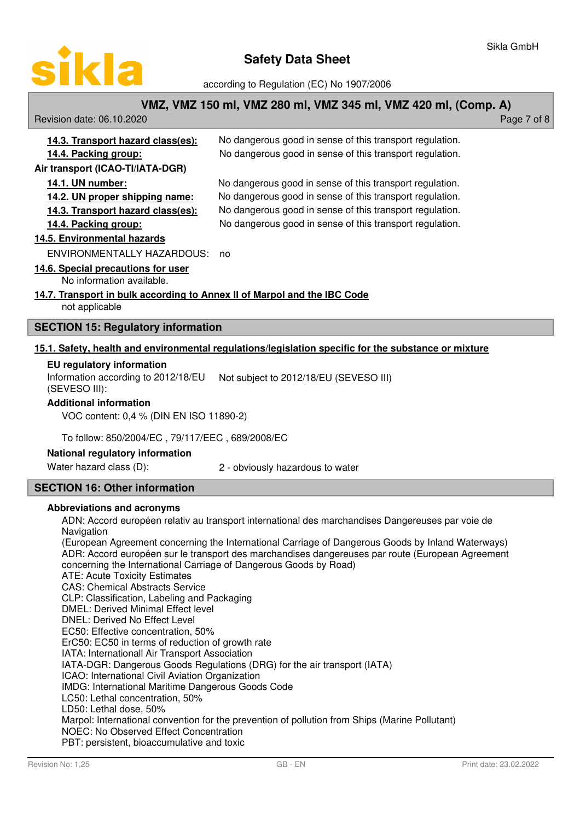

according to Regulation (EC) No 1907/2006

# **VMZ, VMZ 150 ml, VMZ 280 ml, VMZ 345 ml, VMZ 420 ml, (Comp. A)**

| Revision date: 06.10.2020 | Page 7 of 8 |
|---------------------------|-------------|
|---------------------------|-------------|

| 14.3. Transport hazard class(es): | No dangerous good in sense of this transport regulation. |
|-----------------------------------|----------------------------------------------------------|
| 14.4. Packing group:              | No dangerous good in sense of this transport regulation. |
| Air transport (ICAO-TI/IATA-DGR)  |                                                          |
| <b>14.1. UN number:</b>           | No dangerous good in sense of this transport regulation. |

**14.2. UN proper shipping name:** No dangerous good in sense of this transport regulation.

**14.3. Transport hazard class(es):** No dangerous good in sense of this transport regulation.

**14.4. Packing group:** No dangerous good in sense of this transport regulation.

# **14. 5 . E nvironmental hazards**

ENVIRONMENTALLY HAZARDOUS: no

**1 4. 6 . S pecial precautions for user**

#### No information available.

# 14.7. Transport in bulk according to Annex II of Marpol and the IBC Code

not applicable

# **SECTION 15: Regulatory information**

# 15.1. Safety, health and environmental regulations/legislation specific for the substance or mixture

# **EU regulatory information**

Information according to 2012/18/EU Not subject to 2012/18/EU (SEVESO III) (SEVESO III):

# **Additional information**

VOC content: 0,4 % (DIN EN ISO 11890-2)

To follow: 850/2004/EC , 79/117/EEC , 689/2008/EC

# **National regulatory information**

Water hazard class (D): 2 - obviously hazardous to water

# **SECTION 16: Other information**

# **Abbreviations and acronyms**

ADN: Accord européen relativ au transport international des marchandises Dangereuses par voie de **Navigation** 

(European Agreement concerning the International Carriage of Dangerous Goods by Inland Waterways) ADR: Accord européen sur le transport des marchandises dangereuses par route (European Agreement concerning the International Carriage of Dangerous Goods by Road) ATE: Acute Toxicity Estimates CAS: Chemical Abstracts Service CLP: Classification, Labeling and Packaging DMEL: Derived Minimal Effect level DNEL: Derived No Effect Level EC50: Effective concentration, 50% ErC50: EC50 in terms of reduction of growth rate IATA: Internationall Air Transport Association IATA-DGR: Dangerous Goods Regulations (DRG) for the air transport (IATA) ICAO: International Civil Aviation Organization IMDG: International Maritime Dangerous Goods Code LC50: Lethal concentration, 50% LD50: Lethal dose, 50% Marpol: International convention for the prevention of pollution from Ships (Marine Pollutant) NOEC: No Observed Effect Concentration PBT: persistent, bioaccumulative and toxic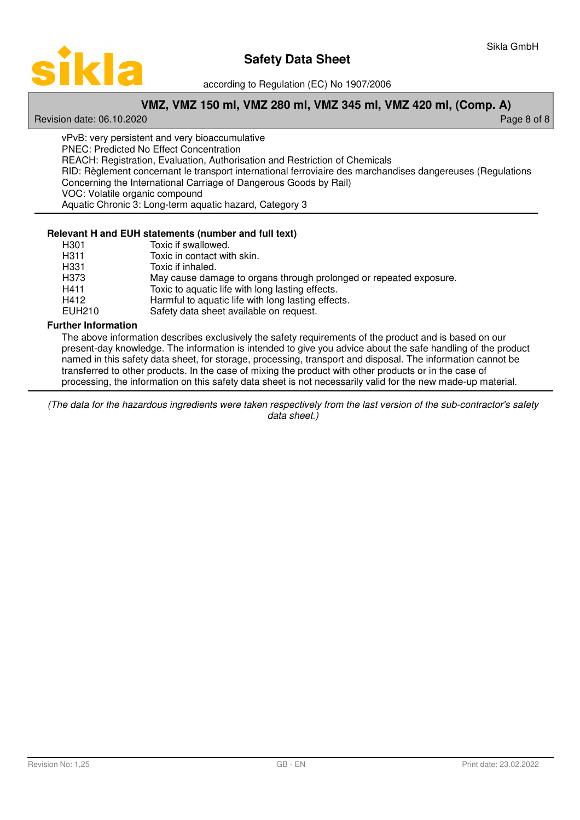

according to Regulation (EC) No 1907/2006

# **VMZ, VMZ 150 ml, VMZ 280 ml, VMZ 345 ml, VMZ 420 ml, (Comp. A)**

Revision date: 06.10.2020 **Page 8 of 8** and 2011 **Page 8 of 8** and 2011 **Page 8 of 8** and 2011 **Page 8 of 8** 

vPvB: very persistent and very bioaccumulative PNEC: Predicted No Effect Concentration REACH: Registration, Evaluation, Authorisation and Restriction of Chemicals RID: Règlement concernant le transport international ferroviaire des marchandises dangereuses (Regulations Concerning the International Carriage of Dangerous Goods by Rail) VOC: Volatile organic compound Aquatic Chronic 3: Long-term aquatic hazard, Category 3

# **Relevant H and EUH statements (number and full text)**

| H301   | Toxic if swallowed.                                                |
|--------|--------------------------------------------------------------------|
| H311   | Toxic in contact with skin.                                        |
| H331   | Toxic if inhaled.                                                  |
| H373   | May cause damage to organs through prolonged or repeated exposure. |
| H411   | Toxic to aquatic life with long lasting effects.                   |
| H412   | Harmful to aquatic life with long lasting effects.                 |
| EUH210 | Safety data sheet available on request.                            |

# **Further Information**

The above information describes exclusively the safety requirements of the product and is based on our present-day knowledge. The information is intended to give you advice about the safe handling of the product named in this safety data sheet, for storage, processing, transport and disposal. The information cannot be transferred to other products. In the case of mixing the product with other products or in the case of processing, the information on this safety data sheet is not necessarily valid for the new made-up material.

(The data for the hazardous ingredients were taken respectively from the last version of the sub-contractor's safety data sheet.)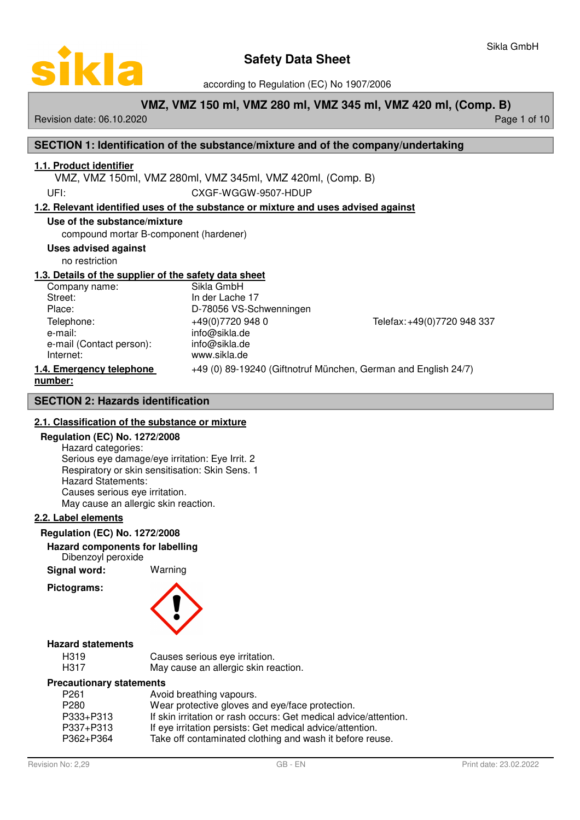

according to Regulation (EC) No 1907/2006

# **VMZ, VMZ 150 ml, VMZ 280 ml, VMZ 345 ml, VMZ 420 ml, (Comp. B)**

Revision date: 06.10.2020 **Page 1 of 10** New York 2010 12:00 Page 1 of 10

# **SECTION 1: Identification of the substance/mixture and of the company/undertaking**

# **1 . 1 . Product identifier**

VMZ, VMZ 150ml, VMZ 280ml, VMZ 345ml, VMZ 420ml, (Comp. B)

UFI: CXGF-WGGW-9507-HDUP

# **1 . 2 . Relevant identified uses of the substance or mixture and uses advised against**

#### **Use of the substance/mixture**

compound mortar B-component (hardener)

#### **Uses advised against**

no restriction

# **1 . 3 . Details of the supplier of the safety data sheet**

Company name: Sikla GmbH<br>Street: Street: Street: Street: Street: Street: In der Lache 17<br>Place: In 278056 VS-Sc e-mail: info@sikla.de e-mail (Contact person): info@sikla.de Internet: www.sikla.de

D-78056 VS-Schwenningen

Telephone: +49(0)7720 948 0 Telefax: +49(0)7720 948 337

# **1.4. Emergency telephone** +49 (0) 89-19240 (Giftnotruf München, German and English 24/7) **number :**

**SECTION 2: Hazards identification**

# **2 . 1 . Classification of the substance or mixture**

#### **Regulation (EC) No. 1272/2008**

Hazard categories: Serious eye damage/eye irritation: Eye Irrit. 2 Respiratory or skin sensitisation: Skin Sens. 1 Hazard Statements: Causes serious eye irritation. May cause an allergic skin reaction.

# **2 . 2 . Label elements**

# **Regulation (EC) No. 1272/2008**

**Hazard components for labelling**

Dibenzoyl peroxide

**Signal word:** Warning

**Pictograms:**

# **Hazard statements**

| H319 | Causes serious eye irritation.       |
|------|--------------------------------------|
| H317 | May cause an allergic skin reaction. |

#### **Precautionary statements**

| P <sub>261</sub> | Avoid breathing vapours.                                         |
|------------------|------------------------------------------------------------------|
| P <sub>280</sub> | Wear protective gloves and eye/face protection.                  |
| P333+P313        | If skin irritation or rash occurs: Get medical advice/attention. |
| P337+P313        | If eye irritation persists: Get medical advice/attention.        |
| P362+P364        | Take off contaminated clothing and wash it before reuse.         |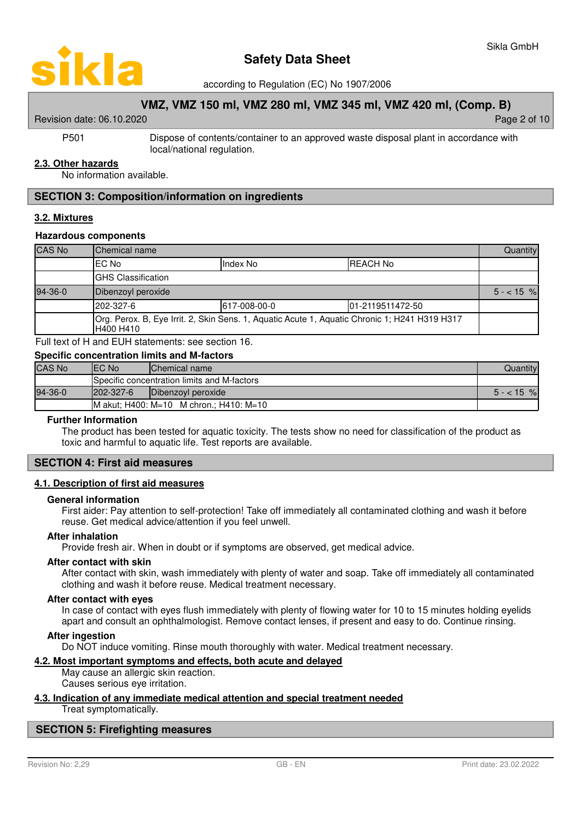

according to Regulation (EC) No 1907/2006

# **VMZ, VMZ 150 ml, VMZ 280 ml, VMZ 345 ml, VMZ 420 ml, (Comp. B)**

#### Revision date: 06.10.2020 **Page 2 of 10** New York 2 of 10 New York 2 of 10

P501 Dispose of contents/container to an approved waste disposal plant in accordance with local/national regulation.

#### **2 . 3 . Other hazards**

No information available.

### **SECTION 3: Composition/information on ingredients**

#### **3 . 2 . Mixtures**

#### **Hazardous components**

| <b>CAS No</b> | Chemical name                                                                                              |              |                   | Quantity   |  |
|---------------|------------------------------------------------------------------------------------------------------------|--------------|-------------------|------------|--|
|               | EC No                                                                                                      | Index No     | <b>REACH No</b>   |            |  |
|               | <b>GHS Classification</b>                                                                                  |              |                   |            |  |
| 94-36-0       | Dibenzoyl peroxide                                                                                         |              |                   | $5 - 15$ % |  |
|               | 202-327-6                                                                                                  | 617-008-00-0 | 101-2119511472-50 |            |  |
|               | Org. Perox. B, Eye Irrit. 2, Skin Sens. 1, Aquatic Acute 1, Aquatic Chronic 1; H241 H319 H317<br>H400 H410 |              |                   |            |  |

Full text of H and EUH statements: see section 16.

| <b>Specific concentration limits and M-factors</b> |                                             |                                         |            |  |  |  |  |
|----------------------------------------------------|---------------------------------------------|-----------------------------------------|------------|--|--|--|--|
| <b>CAS No</b>                                      | IEC No                                      | Chemical name<br>Quantity               |            |  |  |  |  |
|                                                    | Specific concentration limits and M-factors |                                         |            |  |  |  |  |
| 94-36-0                                            | $1202 - 327 - 6$                            | Dibenzoyl peroxide                      | $5 - 15$ % |  |  |  |  |
|                                                    |                                             | M akut: H400: M=10 M chron.: H410: M=10 |            |  |  |  |  |

#### **Further Information**

The product has been tested for aquatic toxicity. The tests show no need for classification of the product as toxic and harmful to aquatic life. Test reports are available.

### **SECTION 4: First aid measures**

#### **4 . 1 . Description of first aid measures**

#### **General information**

First aider: Pay attention to self-protection! Take off immediately all contaminated clothing and wash it before reuse. Get medical advice/attention if you feel unwell.

#### **After inhalation**

Provide fresh air. When in doubt or if symptoms are observed, get medical advice.

#### **After contact with skin**

After contact with skin, wash immediately with plenty of water and soap. Take off immediately all contaminated clothing and wash it before reuse. Medical treatment necessary.

#### **After contact with eyes**

In case of contact with eyes flush immediately with plenty of flowing water for 10 to 15 minutes holding eyelids apart and consult an ophthalmologist. Remove contact lenses, if present and easy to do. Continue rinsing.

#### **After ingestion**

Do NOT induce vomiting. Rinse mouth thoroughly with water. Medical treatment necessary.

### **4 . 2 . Most important symptoms and effects , both acute and delayed**

May cause an allergic skin reaction. Causes serious eye irritation.

#### **4 . 3 . Indication of any immediate medical attention and special treatment needed**

Treat symptomatically.

# **SECTION 5: Firefighting measures**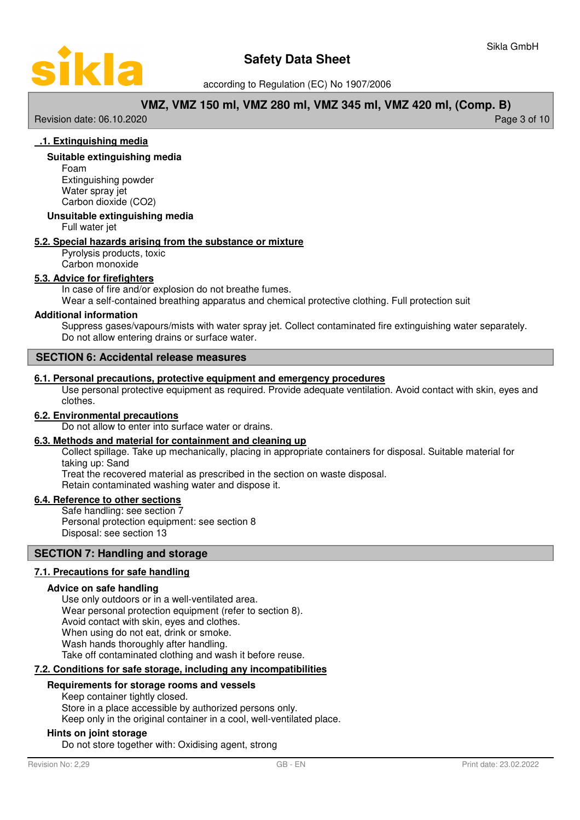

according to Regulation (EC) No 1907/2006

# **VMZ, VMZ 150 ml, VMZ 280 ml, VMZ 345 ml, VMZ 420 ml, (Comp. B)**

Revision date: 06.10.2020 **Page 3 of 10** 

# **. 1 . E xtinguishing media**

#### **Suitable extinguishing media**

Foam Extinguishing powder Water spray jet Carbon dioxide (CO2)

#### **Unsuitable extinguishing media**

Full water jet

#### **5 . 2 . Special hazards arising from the substance or mixture**

Pyrolysis products, toxic Carbon monoxide

### **5 . 3 . Advice for firefighters**

In case of fire and/or explosion do not breathe fumes.

Wear a self-contained breathing apparatus and chemical protective clothing. Full protection suit

### **Additional information**

Suppress gases/vapours/mists with water spray jet. Collect contaminated fire extinguishing water separately. Do not allow entering drains or surface water.

### **SECTION 6: Accidental release measures**

#### **6 . 1 . Personal precautions , protective equipment and emergency procedures**

Use personal protective equipment as required. Provide adequate ventilation. Avoid contact with skin, eyes and clothes.

#### **6 . 2 . Environmental precautions**

Do not allow to enter into surface water or drains.

#### **6 . 3 . Methods and material for containment and cleaning up**

Collect spillage. Take up mechanically, placing in appropriate containers for disposal. Suitable material for taking up: Sand

Treat the recovered material as prescribed in the section on waste disposal.

Retain contaminated washing water and dispose it.

### **6 . 4 . Reference to other sections**

Safe handling: see section 7 Personal protection equipment: see section 8 Disposal: see section 13

### **SECTION 7: Handling and storage**

# **7 . 1 . Precautions for safe handling**

#### **Advice on safe handling**

Use only outdoors or in a well-ventilated area. Wear personal protection equipment (refer to section 8). Avoid contact with skin, eyes and clothes. When using do not eat, drink or smoke. Wash hands thoroughly after handling. Take off contaminated clothing and wash it before reuse.

#### **7 . 2 . Conditions for safe storage , including any incompatibilities**

# **Requirements for storage rooms and vessels**

Keep container tightly closed. Store in a place accessible by authorized persons only.

Keep only in the original container in a cool, well-ventilated place.

#### **Hints on joint storage**

Do not store together with: Oxidising agent, strong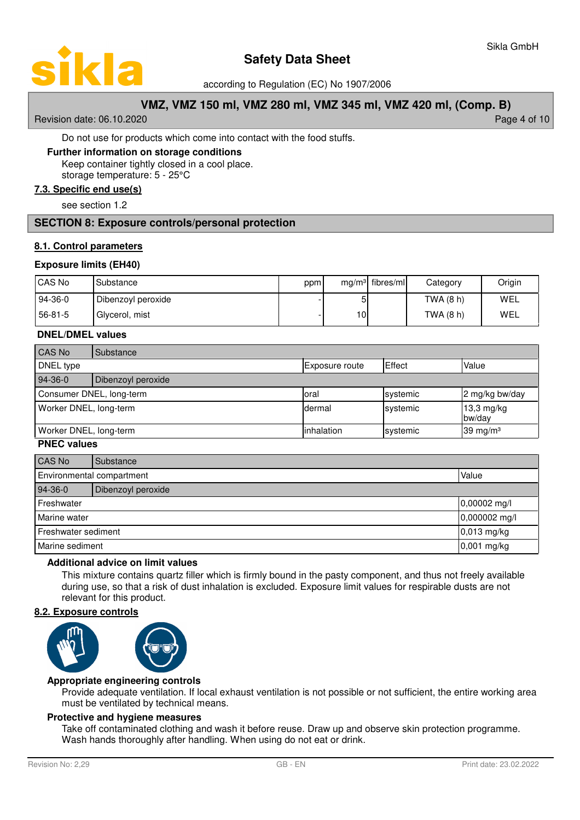

according to Regulation (EC) No 1907/2006

# **VMZ, VMZ 150 ml, VMZ 280 ml, VMZ 345 ml, VMZ 420 ml, (Comp. B)**

Revision date: 06.10.2020 **Page 4 of 10** New York 2010 12:00 Page 4 of 10

#### Do not use for products which come into contact with the food stuffs.

#### **Further information on storage conditions**

Keep container tightly closed in a cool place.

storage temperature: 5 - 25°C

# **7 . 3 . Specific end use ( s )**

see section 1.2

# **SECTION 8: Exposure controls/personal protection**

# **8 . 1 . Control parameters**

#### **Exposure limits (EH40)**

| CAS No    | Substance          | ppm |     | $mg/m3$ fibres/ml | Category  | Origin |
|-----------|--------------------|-----|-----|-------------------|-----------|--------|
| $94-36-0$ | Dibenzoyl peroxide |     | 51  |                   | TWA (8 h) | WEL    |
| 56-81-5   | Glycerol, mist     |     | 10I |                   | TWA (8 h) | WEL    |

#### **DNEL/DMEL values**

| CAS No                   | Substance          |                       |          |                      |
|--------------------------|--------------------|-----------------------|----------|----------------------|
| DNEL type                |                    | <b>Exposure route</b> | Effect   | Value                |
| $94-36-0$                | Dibenzoyl peroxide |                       |          |                      |
| Consumer DNEL, long-term |                    | Ioral                 | systemic | 2 mg/kg bw/day       |
| Worker DNEL, long-term   |                    | Idermal               | systemic | 13,3 mg/kg<br>bw/day |
| Worker DNEL, long-term   |                    | linhalation           | systemic | 39 mg/m $3$          |

#### **PNEC values**

| CAS No                          | Substance                          |               |  |
|---------------------------------|------------------------------------|---------------|--|
|                                 | Value<br>Environmental compartment |               |  |
| $94-36-0$<br>Dibenzoyl peroxide |                                    |               |  |
| Freshwater                      |                                    | 0,00002 mg/l  |  |
| Marine water                    |                                    | 0,000002 mg/l |  |
| Freshwater sediment             |                                    | $0,013$ mg/kg |  |
| Marine sediment                 |                                    | 0,001 mg/kg   |  |

#### **Additional advice on limit values**

This mixture contains quartz filler which is firmly bound in the pasty component, and thus not freely available during use, so that a risk of dust inhalation is excluded. Exposure limit values for respirable dusts are not relevant for this product.

#### **8 . 2 . Exposure controls**



# **Appropriate engineering controls**

Provide adequate ventilation. If local exhaust ventilation is not possible or not sufficient, the entire working area must be ventilated by technical means.

# **Protective and hygiene measures**

Take off contaminated clothing and wash it before reuse. Draw up and observe skin protection programme. Wash hands thoroughly after handling. When using do not eat or drink.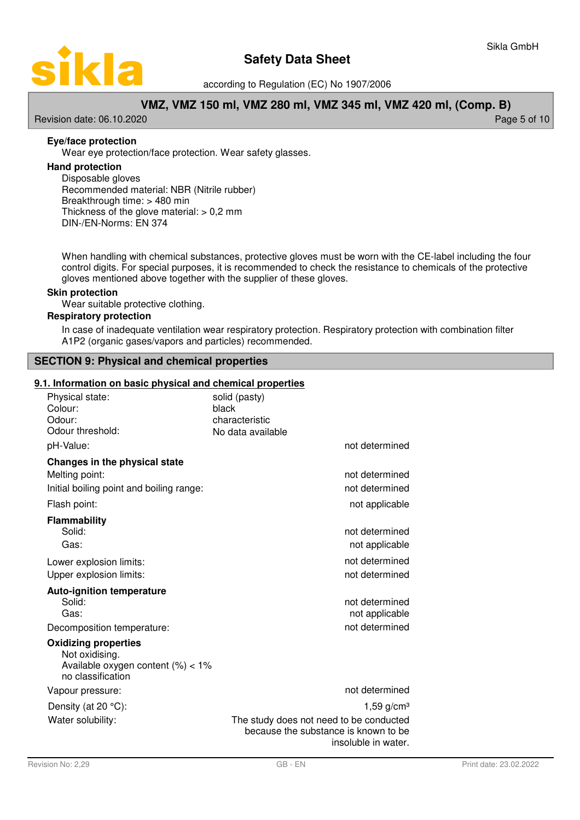

according to Regulation (EC) No 1907/2006

# **VMZ, VMZ 150 ml, VMZ 280 ml, VMZ 345 ml, VMZ 420 ml, (Comp. B)**

Revision date: 06.10.2020 **Page 5 of 10** 

# **Eye/face protection**

Wear eye protection/face protection. Wear safety glasses.

# **Hand protection**

Disposable gloves Recommended material: NBR (Nitrile rubber) Breakthrough time: > 480 min Thickness of the glove material:  $> 0.2$  mm DIN-/EN-Norms: EN 374

When handling with chemical substances, protective gloves must be worn with the CE-label including the four control digits. For special purposes, it is recommended to check the resistance to chemicals of the protective gloves mentioned above together with the supplier of these gloves.

#### **Skin protection**

Wear suitable protective clothing.

# **Respiratory protection**

In case of inadequate ventilation wear respiratory protection. Respiratory protection with combination filter A1P2 (organic gases/vapors and particles) recommended.

# **SECTION 9: Physical and chemical properties**

#### **9.1. Information on basic physical and chemical properties**

| Physical state:<br>Colour:<br>Odour:<br>Odour threshold:                                                  | solid (pasty)<br>black<br>characteristic<br>No data available                                          |
|-----------------------------------------------------------------------------------------------------------|--------------------------------------------------------------------------------------------------------|
| pH-Value:                                                                                                 | not determined                                                                                         |
| Changes in the physical state                                                                             |                                                                                                        |
| Melting point:                                                                                            | not determined                                                                                         |
| Initial boiling point and boiling range:                                                                  | not determined                                                                                         |
| Flash point:                                                                                              | not applicable                                                                                         |
| <b>Flammability</b>                                                                                       |                                                                                                        |
| Solid:                                                                                                    | not determined                                                                                         |
| Gas:                                                                                                      | not applicable                                                                                         |
| Lower explosion limits:                                                                                   | not determined                                                                                         |
| Upper explosion limits:                                                                                   | not determined                                                                                         |
| <b>Auto-ignition temperature</b><br>Solid:                                                                | not determined                                                                                         |
| Gas:                                                                                                      | not applicable                                                                                         |
| Decomposition temperature:                                                                                | not determined                                                                                         |
| <b>Oxidizing properties</b><br>Not oxidising.<br>Available oxygen content $(\%)<1\%$<br>no classification |                                                                                                        |
| Vapour pressure:                                                                                          | not determined                                                                                         |
| Density (at $20^{\circ}$ C):                                                                              | 1,59 $g/cm3$                                                                                           |
| Water solubility:                                                                                         | The study does not need to be conducted<br>because the substance is known to be<br>insoluble in water. |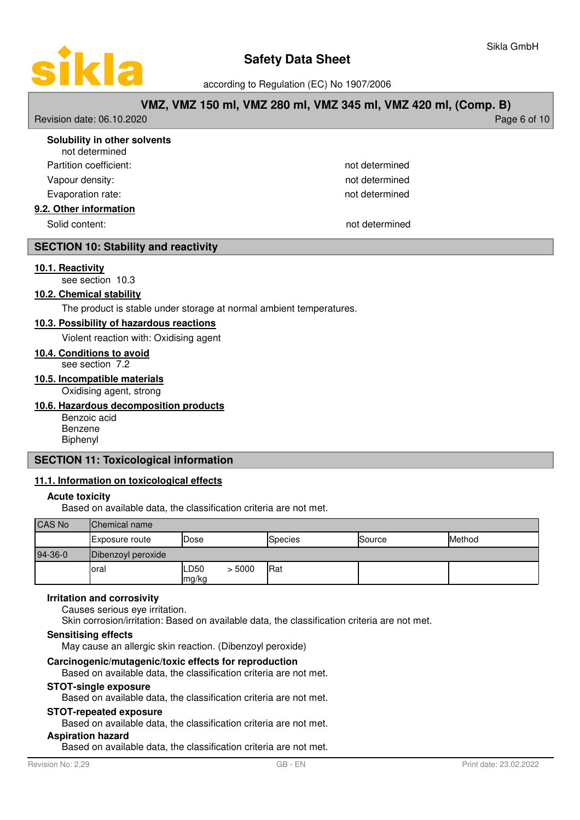

according to Regulation (EC) No 1907/2006

# **VMZ, VMZ 150 ml, VMZ 280 ml, VMZ 345 ml, VMZ 420 ml, (Comp. B)**

Revision date: 06.10.2020 **Page 6 of 10** 

| Solubility in other solvents<br>not determined |                |  |
|------------------------------------------------|----------------|--|
| Partition coefficient:                         | not determined |  |
| Vapour density:                                | not determined |  |
| Evaporation rate:                              | not determined |  |
| 9.2. Other information                         |                |  |
| Solid content:                                 | not determined |  |

# **SECTION 10: Stability and reactivity**

#### **1 0. 1 . R eactivity**

see section 10.3

# **10.2. Chemical stability**

The product is stable under storage at normal ambient temperatures.

#### **1 0. 3 . P ossibility of hazardous reactions**

Violent reaction with: Oxidising agent

# **10 . 4 . Conditions to avoid**

see section 7.2

# **10 . 5 . Incompatible materials**

Oxidising agent, strong

## **10 . 6 . Hazardous decomposition products**

Benzoic acid Benzene Biphenyl

# **SECTION 11: Toxicological information**

# **11 . 1 . Information on toxicological effects**

## **Acute toxicity**

Based on available data, the classification criteria are not met.

| <b>CAS No</b> | <b>Chemical name</b> |               |        |         |        |        |
|---------------|----------------------|---------------|--------|---------|--------|--------|
|               | Exposure route       | Dose          |        | Species | Source | Method |
| 94-36-0       | Dibenzoyl peroxide   |               |        |         |        |        |
|               | Ioral                | LD50<br>mg/kg | > 5000 | Rat     |        |        |

#### **Irritation and corrosivity**

Causes serious eye irritation.

Skin corrosion/irritation: Based on available data, the classification criteria are not met.

#### **Sensitising effects**

May cause an allergic skin reaction. (Dibenzoyl peroxide)

#### **Carcinogenic/mutagenic/toxic effects for reproduction**

Based on available data, the classification criteria are not met.

#### **STOT-single exposure**

Based on available data, the classification criteria are not met.

# **STOT-repeated exposure**

Based on available data, the classification criteria are not met.

# **Aspiration hazard**

Based on available data, the classification criteria are not met.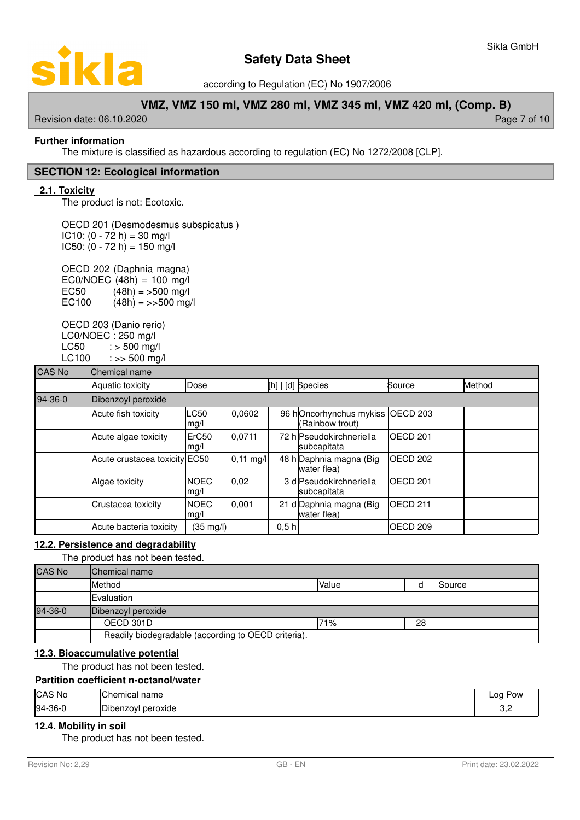

according to Regulation (EC) No 1907/2006

# **VMZ, VMZ 150 ml, VMZ 280 ml, VMZ 345 ml, VMZ 420 ml, (Comp. B)**

Revision date: 06.10.2020 **Page 7 of 10** New York 2012 12:00 Page 7 of 10

# **Further information**

The mixture is classified as hazardous according to regulation (EC) No 1272/2008 [CLP].

### **SECTION 12: Ecological information**

#### **2.1. Toxicity**

The product is not: Ecotoxic.

OECD 201 (Desmodesmus subspicatus )  $IC10: (0 - 72 h) = 30 mg/l$  $IC50: (0 - 72 h) = 150 mg/l$ 

OECD 202 (Daphnia magna) EC0/NOEC  $(48h) = 100$  mg/l EC50  $(48h) = 500$  mg/l EC100  $(48h) = \frac{500 \text{ mg}}{h}$ 

OECD 203 (Danio rerio) LC0/NOEC : 250 mg/l  $LC50$  :  $> 500$  mg/l  $LC100$  :  $>> 500$  mg/l

| <b>CAS No</b> | Chemical name                 |                           |                     |                  |                                                     |                     |        |
|---------------|-------------------------------|---------------------------|---------------------|------------------|-----------------------------------------------------|---------------------|--------|
|               | Aquatic toxicity              | Dose                      |                     |                  | [h]   [d] Species                                   | Source              | Method |
| 94-36-0       | Dibenzoyl peroxide            |                           |                     |                  |                                                     |                     |        |
|               | Acute fish toxicity           | <b>LC50</b><br>mg/l       | 0.0602              |                  | 96 hOncorhynchus mykiss OECD 203<br>(Rainbow trout) |                     |        |
|               | Acute algae toxicity          | ErC <sub>50</sub><br>mg/l | 0.0711              |                  | 72 hlPseudokirchneriella<br>subcapitata             | OECD <sub>201</sub> |        |
|               | Acute crustacea toxicity EC50 |                           | $0,11 \text{ mg/l}$ |                  | 48 h Daphnia magna (Big<br>water flea)              | OECD <sub>202</sub> |        |
|               | Algae toxicity                | <b>NOEC</b><br>mg/l       | 0,02                |                  | 3 dlPseudokirchneriella<br>subcapitata              | OECD <sub>201</sub> |        |
|               | Crustacea toxicity            | <b>NOEC</b><br>mg/l       | 0,001               |                  | 21 d Daphnia magna (Big<br>water flea)              | OECD <sub>211</sub> |        |
|               | Acute bacteria toxicity       | $(35 \text{ mg/l})$       |                     | 0.5 <sub>h</sub> |                                                     | OECD <sub>209</sub> |        |

# **12 . 2 . Persistence and degradability**

The product has not been tested.

| <b>CAS No</b> | Chemical name                                       |       |    |        |
|---------------|-----------------------------------------------------|-------|----|--------|
|               | Method                                              | Value |    | Source |
|               | Evaluation                                          |       |    |        |
| 94-36-0       | Dibenzoyl peroxide                                  |       |    |        |
|               | OECD 301D                                           | 71%   | 28 |        |
|               | Readily biodegradable (according to OECD criteria). |       |    |        |

### **12 . 3 . Bioaccumulative potential**

The product has not been tested.

#### **Partition coefficient n-octanol/water**

| CAS No    | Chemical<br>name                    | na<br>Pow<br>--- |
|-----------|-------------------------------------|------------------|
| $94-36-0$ | ירו<br>peroxide<br><b>Dibenzovi</b> | --               |

# **12 . 4 . Mobility in soil**

The product has not been tested.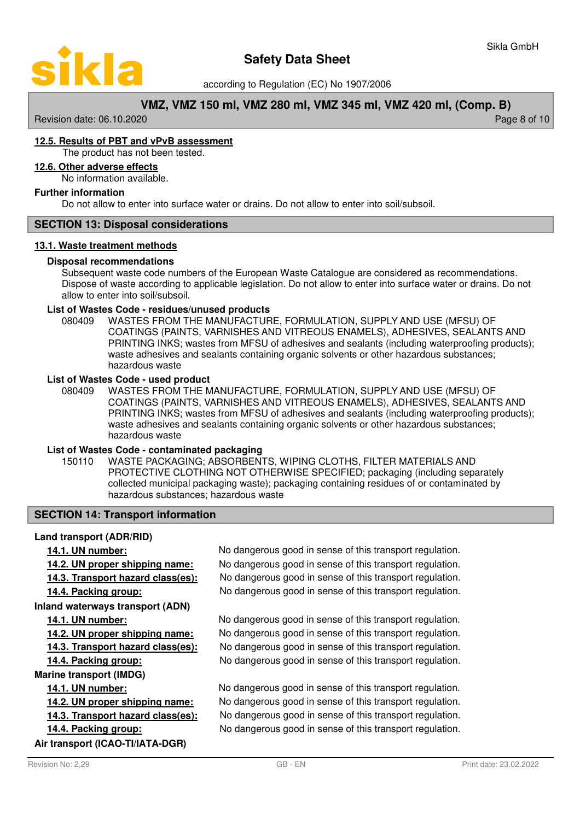

according to Regulation (EC) No 1907/2006

# **VMZ, VMZ 150 ml, VMZ 280 ml, VMZ 345 ml, VMZ 420 ml, (Comp. B)**

Revision date: 06.10.2020 **Page 8 of 10** New York 2010 12:00 Page 8 of 10

# **1 2. 5 . R esults of PBT and vPvB assessment**

The product has not been tested.

# **12 . 6 . Other adverse effects**

No information available.

#### **Further information**

Do not allow to enter into surface water or drains. Do not allow to enter into soil/subsoil.

# **SECTION 13: Disposal considerations**

#### **13 . 1 . Waste treatment methods**

#### **Disposal recommendations**

Subsequent waste code numbers of the European Waste Catalogue are considered as recommendations. Dispose of waste according to applicable legislation. Do not allow to enter into surface water or drains. Do not allow to enter into soil/subsoil.

#### **List of Wastes Code - residues/unused products**

080409 WASTES FROM THE MANUFACTURE, FORMULATION, SUPPLY AND USE (MFSU) OF COATINGS (PAINTS, VARNISHES AND VITREOUS ENAMELS), ADHESIVES, SEALANTS AND PRINTING INKS; wastes from MFSU of adhesives and sealants (including waterproofing products); waste adhesives and sealants containing organic solvents or other hazardous substances; hazardous waste

#### **List of Wastes Code - used product**

WASTES FROM THE MANUFACTURE, FORMULATION, SUPPLY AND USE (MFSU) OF COATINGS (PAINTS, VARNISHES AND VITREOUS ENAMELS), ADHESIVES, SEALANTS AND PRINTING INKS; wastes from MFSU of adhesives and sealants (including waterproofing products); waste adhesives and sealants containing organic solvents or other hazardous substances; hazardous waste 080409

#### **List of Wastes Code - contaminated packaging**

WASTE PACKAGING; ABSORBENTS, WIPING CLOTHS, FILTER MATERIALS AND PROTECTIVE CLOTHING NOT OTHERWISE SPECIFIED; packaging (including separately collected municipal packaging waste); packaging containing residues of or contaminated by hazardous substances; hazardous waste 150110

# **SECTION 14: Transport information**

#### **Land transport (ADR/RID)**

# **Inland waterways transport (ADN)**

# **Marine transport (IMDG)**

**Air transport (ICAO-TI/IATA-DGR)**

**14.1. UN number:** No dangerous good in sense of this transport regulation. **14.2. UN proper shipping name:** No dangerous good in sense of this transport regulation. **14.3. Transport hazard class(es):** No dangerous good in sense of this transport regulation. **14.4. Packing group:** No dangerous good in sense of this transport regulation.

**14.1. UN number:** No dangerous good in sense of this transport regulation. **14.2. UN proper shipping name:** No dangerous good in sense of this transport regulation. **14.3. Transport hazard class(es):** No dangerous good in sense of this transport regulation. **14.4. Packing group:** No dangerous good in sense of this transport regulation.

**14.1. UN number:** No dangerous good in sense of this transport regulation. **14.2. UN proper shipping name:** No dangerous good in sense of this transport regulation. **14.3. Transport hazard class(es):** No dangerous good in sense of this transport regulation. **14.4. Packing group:** No dangerous good in sense of this transport regulation.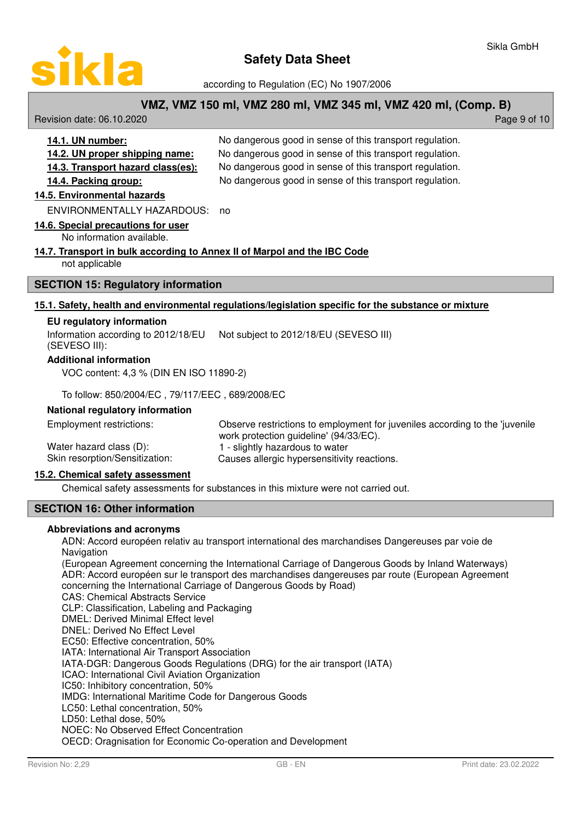

according to Regulation (EC) No 1907/2006

# **VMZ, VMZ 150 ml, VMZ 280 ml, VMZ 345 ml, VMZ 420 ml, (Comp. B)**

Revision date: 06.10.2020 **Page 9 of 10** 

| 14.1. UN number:                  | No dangerous good in sense of this transport regulation. |
|-----------------------------------|----------------------------------------------------------|
| 14.2. UN proper shipping name:    | No dangerous good in sense of this transport regulation. |
| 14.3. Transport hazard class(es): | No dangerous good in sense of this transport regulation. |
| 14.4. Packing group:              | No dangerous good in sense of this transport regulation. |
|                                   |                                                          |

# **14. 5 . E nvironmental hazards**

ENVIRONMENTALLY HAZARDOUS: no

#### **14.6. Special precautions for user**

No information available.

#### **14. 7 . T ransport in bulk according to Annex II of Marpol and the IBC Code**

not applicable

# **SECTION 15: Regulatory information**

#### **1 5. 1 . S afety, h ealth and environmental regulations/ l egislation specific for the substance or mixture**

#### **EU regulatory information**

Information according to 2012/18/EU Not subject to 2012/18/EU (SEVESO III)

(SEVESO III):

#### **Additional information**

VOC content: 4,3 % (DIN EN ISO 11890-2)

To follow: 850/2004/EC , 79/117/EEC , 689/2008/EC

#### **National regulatory information**

Observe restrictions to employment for juveniles according to the 'juvenile work protection guideline' (94/33/EC). Employment restrictions: Water hazard class (D): 1 - slightly hazardous to water Skin resorption/Sensitization: Causes allergic hypersensitivity reactions.

# **15. 2 . C hemical safety assessment**

Chemical safety assessments for substances in this mixture were not carried out.

# **SECTION 16: Other information**

# **Abbreviations and acronyms**

ADN: Accord européen relativ au transport international des marchandises Dangereuses par voie de Navigation

(European Agreement concerning the International Carriage of Dangerous Goods by Inland Waterways) ADR: Accord européen sur le transport des marchandises dangereuses par route (European Agreement concerning the International Carriage of Dangerous Goods by Road)

CAS: Chemical Abstracts Service

CLP: Classification, Labeling and Packaging

DMEL: Derived Minimal Effect level

DNEL: Derived No Effect Level

EC50: Effective concentration, 50%

IATA: International Air Transport Association

IATA-DGR: Dangerous Goods Regulations (DRG) for the air transport (IATA)

ICAO: International Civil Aviation Organization

IC50: Inhibitory concentration, 50%

IMDG: International Maritime Code for Dangerous Goods

LC50: Lethal concentration, 50%

LD50: Lethal dose, 50%

NOEC: No Observed Effect Concentration

OECD: Oragnisation for Economic Co-operation and Development